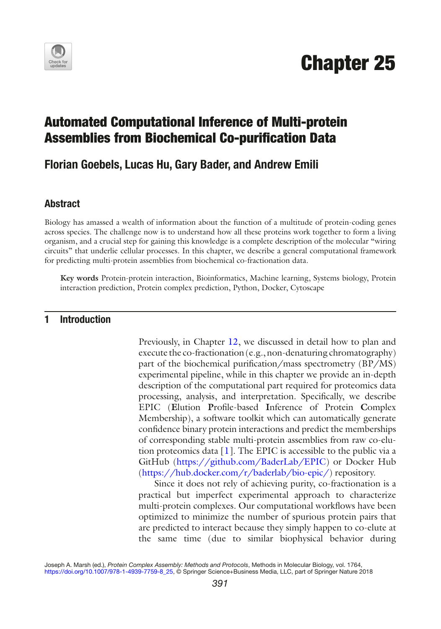

# Chapter 25

# Automated Computational Inference of Multi-protein Assemblies from Biochemical Co-purification Data

# **Florian Goebels, Lucas Hu, Gary Bader, and Andrew Emili**

# **Abstract**

Biology has amassed a wealth of information about the function of a multitude of protein-coding genes across species. The challenge now is to understand how all these proteins work together to form a living organism, and a crucial step for gaining this knowledge is a complete description of the molecular "wiring circuits" that underlie cellular processes. In this chapter, we describe a general computational framework for predicting multi-protein assemblies from biochemical co-fractionation data.

**Key words** Protein-protein interaction, Bioinformatics, Machine learning, Systems biology, Protein interaction prediction, Protein complex prediction, Python, Docker, Cytoscape

# **1 Introduction**

Previously, in Chapter [12,](https://doi.org/10.1007/978-1-4939-7759-8_12) we discussed in detail how to plan and execute the co-fractionation (e.g., non-denaturing chromatography) part of the biochemical purification/mass spectrometry (BP/MS) experimental pipeline, while in this chapter we provide an in-depth description of the computational part required for proteomics data processing, analysis, and interpretation. Specifically, we describe EPIC (**E**lution **P**rofile-based **I**nference of Protein **C**omplex Membership), a software toolkit which can automatically generate confidence binary protein interactions and predict the memberships of corresponding stable multi-protein assemblies from raw co-elution proteomics data  $[1]$  $[1]$ . The EPIC is accessible to the public via a GitHub [\(https://github.com/BaderLab/EPIC](https://github.com/BaderLab/EPIC)) or Docker Hub ([https://hub.docker.com/r/baderlab/bio-epic/\)](https://hub.docker.com/r/baderlab/bio-epic) repository.

Since it does not rely of achieving purity, co-fractionation is a practical but imperfect experimental approach to characterize multi-protein complexes. Our computational workflows have been optimized to minimize the number of spurious protein pairs that are predicted to interact because they simply happen to co-elute at the same time (due to similar biophysical behavior during

Joseph A. Marsh (ed.), *Protein Complex Assembly: Methods and Protocols*, Methods in Molecular Biology, vol. 1764, [https://doi.org/10.1007/978-1-4939-7759-8\\_25](https://doi.org/10.1007/978-1-4939-7759-8_25), © Springer Science+Business Media, LLC, part of Springer Nature 2018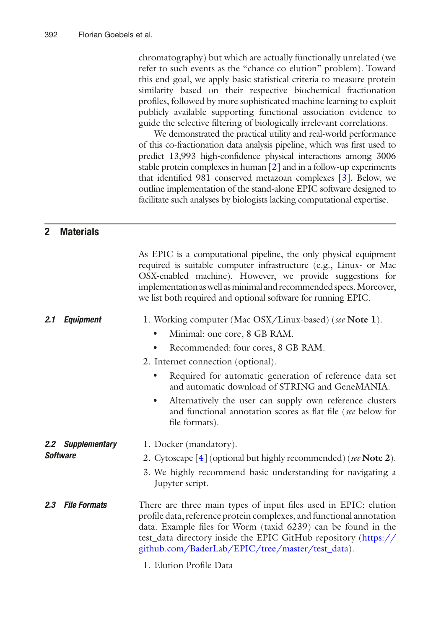chromatography) but which are actually functionally unrelated (we refer to such events as the "chance co-elution" problem). Toward this end goal, we apply basic statistical criteria to measure protein similarity based on their respective biochemical fractionation profiles, followed by more sophisticated machine learning to exploit publicly available supporting functional association evidence to guide the selective filtering of biologically irrelevant correlations.

We demonstrated the practical utility and real-world performance of this co-fractionation data analysis pipeline, which was first used to predict 13,993 high-confidence physical interactions among 3006 stable protein complexes in human [\[2\]](#page-8-1) and in a follow-up experiments that identified 981 conserved metazoan complexes [\[3\]](#page-8-2). Below, we outline implementation of the stand-alone EPIC software designed to facilitate such analyses by biologists lacking computational expertise.

## **2 Materials**

| required is suitable computer infrastructure (e.g., Linux- or Mac<br>OSX-enabled machine). However, we provide suggestions for<br>implementation as well as minimal and recommended specs. Moreover,<br>we list both required and optional software for running EPIC.                                                           |
|---------------------------------------------------------------------------------------------------------------------------------------------------------------------------------------------------------------------------------------------------------------------------------------------------------------------------------|
| 1. Working computer (Mac OSX/Linux-based) (see Note 1).                                                                                                                                                                                                                                                                         |
| Minimal: one core, 8 GB RAM.                                                                                                                                                                                                                                                                                                    |
| Recommended: four cores, 8 GB RAM.                                                                                                                                                                                                                                                                                              |
| 2. Internet connection (optional).                                                                                                                                                                                                                                                                                              |
| Required for automatic generation of reference data set<br>$\bullet$<br>and automatic download of STRING and GeneMANIA.                                                                                                                                                                                                         |
| Alternatively the user can supply own reference clusters<br>$\bullet$<br>and functional annotation scores as flat file (see below for<br>file formats).                                                                                                                                                                         |
| 1. Docker (mandatory).                                                                                                                                                                                                                                                                                                          |
| 2. Cytoscape [4] (optional but highly recommended) (see Note 2).                                                                                                                                                                                                                                                                |
| 3. We highly recommend basic understanding for navigating a<br>Jupyter script.                                                                                                                                                                                                                                                  |
| There are three main types of input files used in EPIC: elution<br>profile data, reference protein complexes, and functional annotation<br>data. Example files for Worm (taxid 6239) can be found in the<br>test_data directory inside the EPIC GitHub repository (https://<br>github.com/BaderLab/EPIC/tree/master/test_data). |
|                                                                                                                                                                                                                                                                                                                                 |

<span id="page-1-0"></span>1. Elution Profile Data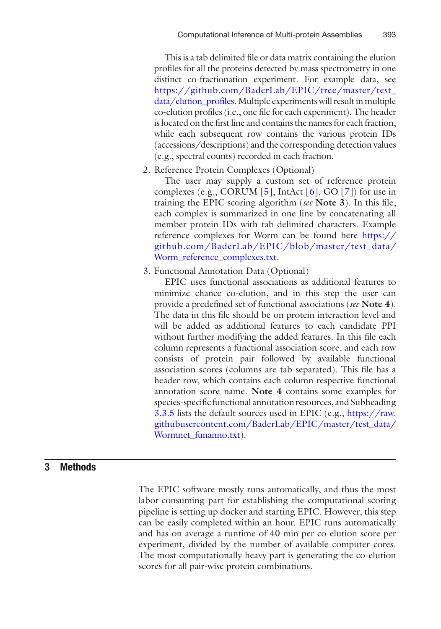This is a tab delimited file or data matrix containing the elution profiles for all the proteins detected by mass spectrometry in one distinct co-fractionation experiment. For example data, see [https://github.com/BaderLab/EPIC/tree/master/test\\_](https://github.com/fgoebels/EPIC/tree/master/test_data/elution_profiles) [data/elution\\_profiles.](https://github.com/fgoebels/EPIC/tree/master/test_data/elution_profiles) Multiple experiments will result in multiple co-elution profiles (i.e., one file for each experiment). The header is located on the first line and contains the names for each fraction, while each subsequent row contains the various protein IDs (accessions/descriptions) and the corresponding detection values (e.g., spectral counts) recorded in each fraction.

2. Reference Protein Complexes (Optional)

The user may supply a custom set of reference protein complexes (e.g., CORUM [\[5\]](#page-8-4), IntAct  $[6]$  $[6]$ , GO [[7](#page-8-6)]) for use in training the EPIC scoring algorithm (*see* **Note 3**). In this file, each complex is summarized in one line by concatenating all member protein IDs with tab-delimited characters. Example reference complexes for Worm can be found here [https://](https://github.com/fgoebels/EPIC/blob/master/test_data/Worm_reference_complexes.txt) [github.com/BaderLab/EPIC/blob/master/test\\_data/](https://github.com/fgoebels/EPIC/blob/master/test_data/Worm_reference_complexes.txt) [Worm\\_reference\\_complexes.txt.](https://github.com/fgoebels/EPIC/blob/master/test_data/Worm_reference_complexes.txt)

#### 3. Functional Annotation Data (Optional)

EPIC uses functional associations as additional features to minimize chance co-elution, and in this step the user can provide a predefined set of functional associations (*see* **Note 4**). The data in this file should be on protein interaction level and will be added as additional features to each candidate PPI without further modifying the added features. In this file each column represents a functional association score, and each row consists of protein pair followed by available functional association scores (columns are tab separated). This file has a header row, which contains each column respective functional annotation score name. **Note 4** contains some examples for species-specific functional annotation resources, and Subheading [3.3.5](#page-5-0) lists the default sources used in EPIC (e.g., [https://raw.](https://raw.githubusercontent.com/fgoebels/EPIC/master/test_data/Wormnet_funanno.txt) [githubusercontent.com/BaderLab/EPIC/master/test\\_data/](https://raw.githubusercontent.com/fgoebels/EPIC/master/test_data/Wormnet_funanno.txt) [Wormnet\\_funanno.txt\)](https://raw.githubusercontent.com/fgoebels/EPIC/master/test_data/Wormnet_funanno.txt).

### **3 Methods**

The EPIC software mostly runs automatically, and thus the most labor-consuming part for establishing the computational scoring pipeline is setting up docker and starting EPIC. However, this step can be easily completed within an hour. EPIC runs automatically and has on average a runtime of 40 min per co-elution score per experiment, divided by the number of available computer cores. The most computationally heavy part is generating the co-elution scores for all pair-wise protein combinations.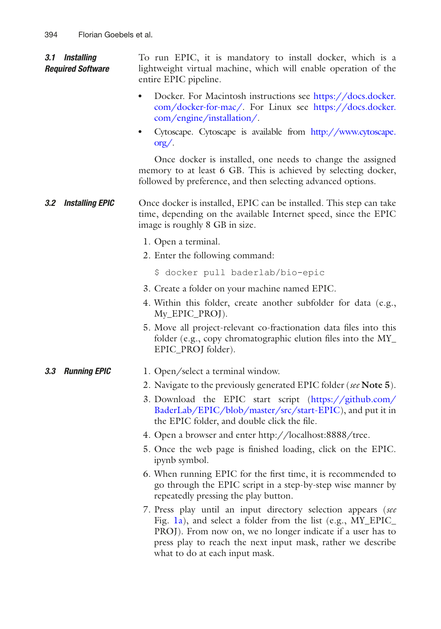To run EPIC, it is mandatory to install docker, which is a lightweight virtual machine, which will enable operation of the entire EPIC pipeline. *3.1 Installing Required Software*

- Docker. For Macintosh instructions see [https://docs.docker.](https://docs.docker.com/docker-for-mac) [com/docker-for-mac/](https://docs.docker.com/docker-for-mac). For Linux see [https://docs.docker.](https://docs.docker.com/engine/installation) [com/engine/installation/.](https://docs.docker.com/engine/installation)
- Cytoscape. Cytoscape is available from [http://www.cytoscape.](http://www.cytoscape.org/) [org/](http://www.cytoscape.org/).

Once docker is installed, one needs to change the assigned memory to at least 6 GB. This is achieved by selecting docker, followed by preference, and then selecting advanced options.

- Once docker is installed, EPIC can be installed. This step can take time, depending on the available Internet speed, since the EPIC image is roughly 8 GB in size. *3.2 Installing EPIC*
	- 1. Open a terminal.
	- 2. Enter the following command:
		- \$ docker pull baderlab/bio-epic
	- 3. Create a folder on your machine named EPIC.
	- 4. Within this folder, create another subfolder for data (e.g., My\_EPIC\_PROJ).
	- 5. Move all project-relevant co-fractionation data files into this folder (e.g., copy chromatographic elution files into the MY\_ EPIC\_PROJ folder).

#### 1. Open/select a terminal window. *3.3 Running EPIC*

- 2. Navigate to the previously generated EPIC folder (*see* **Note 5**).
- 3. Download the EPIC start script [\(https://github.com/](https://github.com/BaderLab/EPIC/blob/master/src/start-EPIC) [BaderLab/EPIC/blob/master/src/start-EPIC](https://github.com/BaderLab/EPIC/blob/master/src/start-EPIC)), and put it in the EPIC folder, and double click the file.
- 4. Open a browser and enter http://localhost:8888/tree.
- 5. Once the web page is finished loading, click on the EPIC. ipynb symbol.
- 6. When running EPIC for the first time, it is recommended to go through the EPIC script in a step-by-step wise manner by repeatedly pressing the play button.
- 7. Press play until an input directory selection appears (*see* Fig. [1a](#page-4-0)), and select a folder from the list (e.g., MY\_EPIC\_ PROJ). From now on, we no longer indicate if a user has to press play to reach the next input mask, rather we describe what to do at each input mask.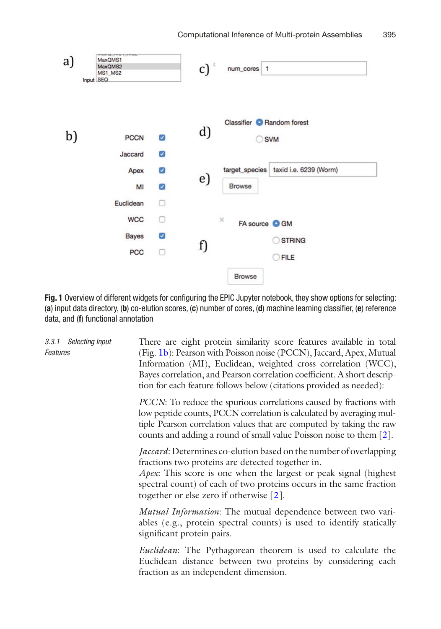<span id="page-4-0"></span>

**Fig. 1** Overview of different widgets for configuring the EPIC Jupyter notebook, they show options for selecting: (**a**) input data directory, (**b**) co-elution scores, (**c**) number of cores, (**d**) machine learning classifier, (**e**) reference data, and (**f**) functional annotation

There are eight protein similarity score features available in total (Fig. [1b\)](#page-4-0): Pearson with Poisson noise (PCCN), Jaccard, Apex, Mutual Information (MI), Euclidean, weighted cross correlation (WCC), Bayes correlation, and Pearson correlation coefficient. A short description for each feature follows below (citations provided as needed): *3.3.1 Selecting Input Features*

> *PCCN*: To reduce the spurious correlations caused by fractions with low peptide counts, PCCN correlation is calculated by averaging multiple Pearson correlation values that are computed by taking the raw counts and adding a round of small value Poisson noise to them [\[2\]](#page-8-1).

> *Jaccard*: Determines co-elution based on the number of overlapping fractions two proteins are detected together in.

> *Apex*: This score is one when the largest or peak signal (highest spectral count) of each of two proteins occurs in the same fraction together or else zero if otherwise [\[2](#page-8-1)].

> *Mutual Information*: The mutual dependence between two variables (e.g., protein spectral counts) is used to identify statically significant protein pairs.

> *Euclidean*: The Pythagorean theorem is used to calculate the Euclidean distance between two proteins by considering each fraction as an independent dimension.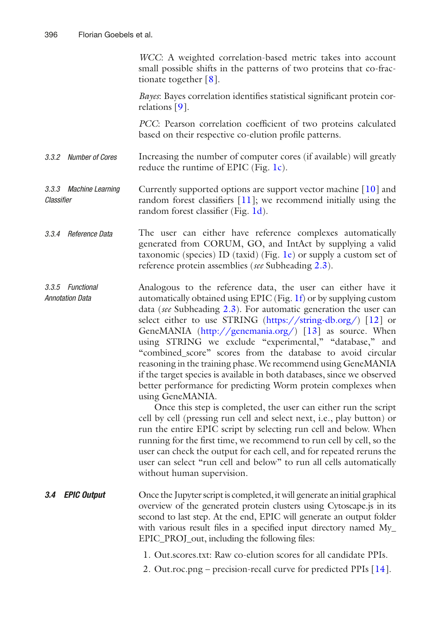*WCC*: A weighted correlation-based metric takes into account small possible shifts in the patterns of two proteins that co-fractionate together [[8\]](#page-8-7).

*Bayes*: Bayes correlation identifies statistical significant protein correlations [[9\]](#page-8-8).

*PCC*: Pearson correlation coefficient of two proteins calculated based on their respective co-elution profile patterns.

Increasing the number of computer cores (if available) will greatly reduce the runtime of EPIC (Fig. [1c\)](#page-4-0). *3.3.2 Number of Cores*

Currently supported options are support vector machine [\[10](#page-8-9)] and random forest classifiers [\[11](#page-8-10)]; we recommend initially using the random forest classifier (Fig. [1d](#page-4-0)). *3.3.3 Machine Learning Classifier*

The user can either have reference complexes automatically generated from CORUM, GO, and IntAct by supplying a valid taxonomic (species) ID (taxid) (Fig.  $1e$ ) or supply a custom set of reference protein assemblies (*see* Subheading [2.3\)](#page-1-0). *3.3.4 Reference Data*

Analogous to the reference data, the user can either have it automatically obtained using EPIC (Fig. [1f\)](#page-4-0) or by supplying custom data (*see* Subheading [2.3](#page-1-0)). For automatic generation the user can select either to use STRING [\(https://string-db.org/\)](https://string-db.org/) [\[12](#page-8-11)] or GeneMANIA ([http://genemania.org/\)](http://genemania.org/) [\[13](#page-8-12)] as source. When using STRING we exclude "experimental," "database," and "combined score" scores from the database to avoid circular reasoning in the training phase. We recommend using GeneMANIA if the target species is available in both databases, since we observed better performance for predicting Worm protein complexes when using GeneMANIA. *3.3.5 Functional Annotation Data*

> <span id="page-5-0"></span>Once this step is completed, the user can either run the script cell by cell (pressing run cell and select next, i.e., play button) or run the entire EPIC script by selecting run cell and below. When running for the first time, we recommend to run cell by cell, so the user can check the output for each cell, and for repeated reruns the user can select "run cell and below" to run all cells automatically without human supervision.

- Once the Jupyter script is completed, it will generate an initial graphical overview of the generated protein clusters using Cytoscape.js in its second to last step. At the end, EPIC will generate an output folder with various result files in a specified input directory named My\_ EPIC\_PROJ\_out, including the following files: *3.4 EPIC Output*
	- 1. Out.scores.txt: Raw co-elution scores for all candidate PPIs.
	- 2. Out.roc.png precision-recall curve for predicted PPIs [\[14](#page-8-13)].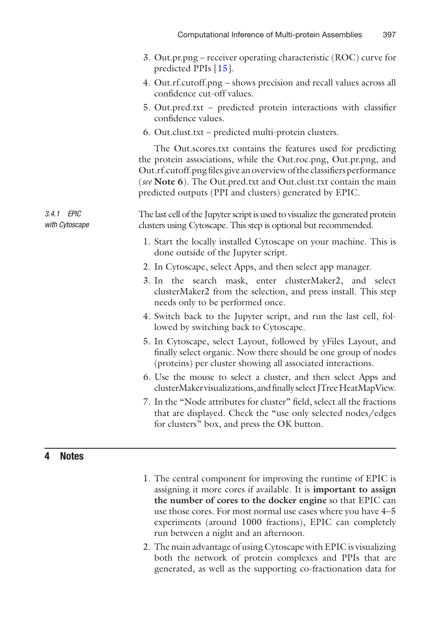|                              | 3. Out.pr.png - receiver operating characteristic (ROC) curve for<br>predicted PPIs $[15]$ .                                                                                                                                                                                                                                                |
|------------------------------|---------------------------------------------------------------------------------------------------------------------------------------------------------------------------------------------------------------------------------------------------------------------------------------------------------------------------------------------|
|                              | 4. Out.rf.cutoff.png - shows precision and recall values across all<br>confidence cut-off values.                                                                                                                                                                                                                                           |
|                              | 5. Out.pred.txt - predicted protein interactions with classifier<br>confidence values.                                                                                                                                                                                                                                                      |
|                              | 6. Out.clust.txt – predicted multi-protein clusters.                                                                                                                                                                                                                                                                                        |
|                              | The Out.scores.txt contains the features used for predicting<br>the protein associations, while the Out.roc.png, Out.pr.png, and<br>Out.rf.cutoff.png files give an overview of the classifiers performance<br>(see Note 6). The Out.pred.txt and Out.clust.txt contain the main<br>predicted outputs (PPI and clusters) generated by EPIC. |
| 3.4.1 EPIC<br>with Cytoscape | The last cell of the Jupyter script is used to visualize the generated protein<br>clusters using Cytoscape. This step is optional but recommended.                                                                                                                                                                                          |
|                              | 1. Start the locally installed Cytoscape on your machine. This is<br>done outside of the Jupyter script.                                                                                                                                                                                                                                    |
|                              | 2. In Cytoscape, select Apps, and then select app manager.                                                                                                                                                                                                                                                                                  |
|                              | 3. In the search mask, enter clusterMaker2, and select<br>clusterMaker2 from the selection, and press install. This step<br>needs only to be performed once.                                                                                                                                                                                |
|                              | 4. Switch back to the Jupyter script, and run the last cell, fol-<br>lowed by switching back to Cytoscape.                                                                                                                                                                                                                                  |
|                              | 5. In Cytoscape, select Layout, followed by yFiles Layout, and<br>finally select organic. Now there should be one group of nodes<br>(proteins) per cluster showing all associated interactions.                                                                                                                                             |
|                              | 6. Use the mouse to select a cluster, and then select Apps and<br>clusterMaker visualizations, and finally select JTree HeatMapView.                                                                                                                                                                                                        |
|                              | 7. In the "Node attributes for cluster" field, select all the fractions<br>that are displayed. Check the "use only selected nodes/edges<br>for clusters" box, and press the OK button.                                                                                                                                                      |
|                              |                                                                                                                                                                                                                                                                                                                                             |

# **4 Notes**

- 1. The central component for improving the runtime of EPIC is assigning it more cores if available. It is **important to assign the number of cores to the docker engine** so that EPIC can use those cores. For most normal use cases where you have 4–5 experiments (around 1000 fractions), EPIC can completely run between a night and an afternoon.
- 2. The main advantage of using Cytoscape with EPIC is visualizing both the network of protein complexes and PPIs that are generated, as well as the supporting co-fractionation data for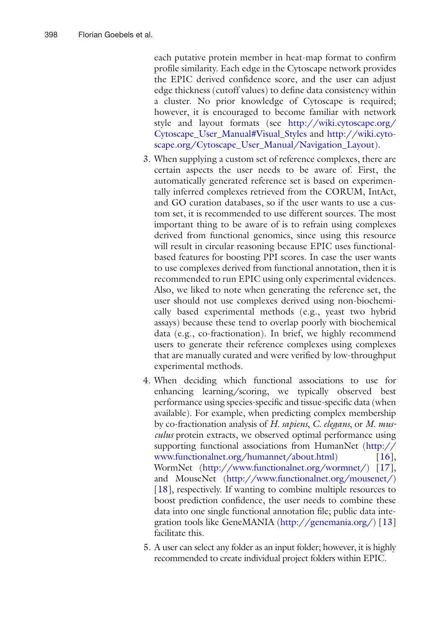each putative protein member in heat-map format to confirm profile similarity. Each edge in the Cytoscape network provides the EPIC derived confidence score, and the user can adjust edge thickness (cutoff values) to define data consistency within a cluster. No prior knowledge of Cytoscape is required; however, it is encouraged to become familiar with network style and layout formats (see [http://wiki.cytoscape.org/](http://wiki.cytoscape.org/Cytoscape_User_Manual#Visual_Styles) [Cytoscape\\_User\\_Manual#Visual\\_Styles](http://wiki.cytoscape.org/Cytoscape_User_Manual#Visual_Styles) and [http://wiki.cyto](http://wiki.cytoscape.org/Cytoscape_User_Manual/Navigation_Layout) [scape.org/Cytoscape\\_User\\_Manual/Navigation\\_Layout\)](http://wiki.cytoscape.org/Cytoscape_User_Manual/Navigation_Layout).

- 3. When supplying a custom set of reference complexes, there are certain aspects the user needs to be aware of. First, the automatically generated reference set is based on experimen tally inferred complexes retrieved from the CORUM, IntAct, and GO curation databases, so if the user wants to use a cus tom set, it is recommended to use different sources. The most important thing to be aware of is to refrain using complexes derived from functional genomics, since using this resource will result in circular reasoning because EPIC uses functionalbased features for boosting PPI scores. In case the user wants to use complexes derived from functional annotation, then it is recommended to run EPIC using only experimental evidences. Also, we liked to note when generating the reference set, the user should not use complexes derived using non-biochemi cally based experimental methods (e.g., yeast two hybrid assays) because these tend to overlap poorly with biochemical data (e.g., co-fractionation). In brief, we highly recommend users to generate their reference complexes using complexes that are manually curated and were verified by low-throughput experimental methods.
- 4. When deciding which functional associations to use for enhancing learning/scoring, we typically observed best performance using species-specific and tissue-specific data (when available). For example, when predicting complex membership by co-fractionation analysis of *H. sapiens*, *C. elegans*, or *M. mus culus* protein extracts, we observed optimal performance using supporting functional associations from HumanNet [\(http://](http://www.functionalnet.org/humannet/about.html) [www.functionalnet.org/humannet/about.html\)](http://www.functionalnet.org/humannet/about.html) [\[16\]](#page-8-15), WormNet [\(http://www.functionalnet.org/wormnet/](http://www.functionalnet.org/wormnet/)) [\[17\]](#page-8-16), and MouseNet ([http://www.functionalnet.org/mousenet/\)](http://www.functionalnet.org/mousenet/) [[18](#page-8-17)], respectively. If wanting to combine multiple resources to boost prediction confidence, the user needs to combine these data into one single functional annotation file; public data inte gration tools like GeneMANIA [\(http://genemania.org/\)](http://genemania.org/) [[13](#page-8-12)] facilitate this.
- 5. A user can select any folder as an input folder; however, it is highly recommended to create individual project folders within EPIC.